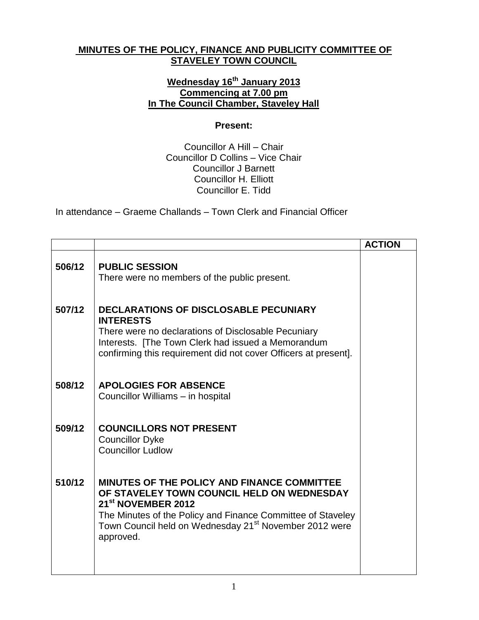## **MINUTES OF THE POLICY, FINANCE AND PUBLICITY COMMITTEE OF STAVELEY TOWN COUNCIL**

## **Wednesday 16th January 2013 Commencing at 7.00 pm In The Council Chamber, Staveley Hall**

## **Present:**

Councillor A Hill – Chair Councillor D Collins – Vice Chair Councillor J Barnett Councillor H. Elliott Councillor E. Tidd

In attendance – Graeme Challands – Town Clerk and Financial Officer

|        |                                                                                                                                                                                                                                                                               | <b>ACTION</b> |
|--------|-------------------------------------------------------------------------------------------------------------------------------------------------------------------------------------------------------------------------------------------------------------------------------|---------------|
| 506/12 | <b>PUBLIC SESSION</b><br>There were no members of the public present.                                                                                                                                                                                                         |               |
| 507/12 | <b>DECLARATIONS OF DISCLOSABLE PECUNIARY</b><br><b>INTERESTS</b><br>There were no declarations of Disclosable Pecuniary<br>Interests. [The Town Clerk had issued a Memorandum<br>confirming this requirement did not cover Officers at present].                              |               |
| 508/12 | <b>APOLOGIES FOR ABSENCE</b><br>Councillor Williams - in hospital                                                                                                                                                                                                             |               |
| 509/12 | <b>COUNCILLORS NOT PRESENT</b><br><b>Councillor Dyke</b><br><b>Councillor Ludlow</b>                                                                                                                                                                                          |               |
| 510/12 | MINUTES OF THE POLICY AND FINANCE COMMITTEE<br>OF STAVELEY TOWN COUNCIL HELD ON WEDNESDAY<br>21 <sup>st</sup> NOVEMBER 2012<br>The Minutes of the Policy and Finance Committee of Staveley<br>Town Council held on Wednesday 21 <sup>st</sup> November 2012 were<br>approved. |               |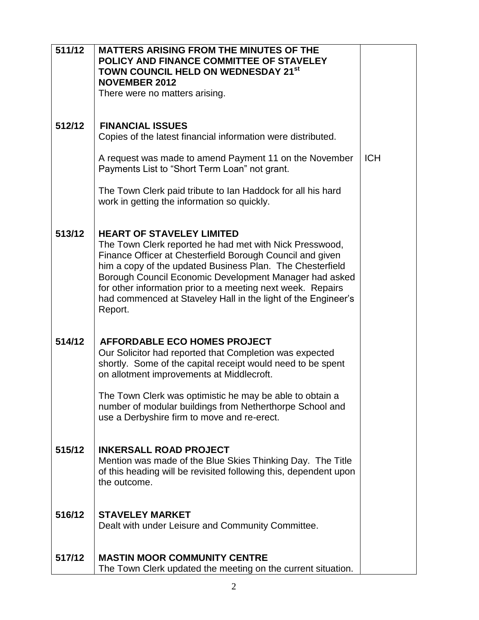| 511/12 | <b>MATTERS ARISING FROM THE MINUTES OF THE</b><br>POLICY AND FINANCE COMMITTEE OF STAVELEY<br>TOWN COUNCIL HELD ON WEDNESDAY 21st                                                                                                                                                                                                                                                                                          |            |
|--------|----------------------------------------------------------------------------------------------------------------------------------------------------------------------------------------------------------------------------------------------------------------------------------------------------------------------------------------------------------------------------------------------------------------------------|------------|
|        | <b>NOVEMBER 2012</b>                                                                                                                                                                                                                                                                                                                                                                                                       |            |
|        | There were no matters arising.                                                                                                                                                                                                                                                                                                                                                                                             |            |
|        |                                                                                                                                                                                                                                                                                                                                                                                                                            |            |
| 512/12 | <b>FINANCIAL ISSUES</b>                                                                                                                                                                                                                                                                                                                                                                                                    |            |
|        | Copies of the latest financial information were distributed.                                                                                                                                                                                                                                                                                                                                                               |            |
|        | A request was made to amend Payment 11 on the November<br>Payments List to "Short Term Loan" not grant.                                                                                                                                                                                                                                                                                                                    | <b>ICH</b> |
|        | The Town Clerk paid tribute to Ian Haddock for all his hard<br>work in getting the information so quickly.                                                                                                                                                                                                                                                                                                                 |            |
| 513/12 | <b>HEART OF STAVELEY LIMITED</b><br>The Town Clerk reported he had met with Nick Presswood,<br>Finance Officer at Chesterfield Borough Council and given<br>him a copy of the updated Business Plan. The Chesterfield<br>Borough Council Economic Development Manager had asked<br>for other information prior to a meeting next week. Repairs<br>had commenced at Staveley Hall in the light of the Engineer's<br>Report. |            |
| 514/12 | <b>AFFORDABLE ECO HOMES PROJECT</b><br>Our Solicitor had reported that Completion was expected<br>shortly. Some of the capital receipt would need to be spent<br>on allotment improvements at Middlecroft.                                                                                                                                                                                                                 |            |
|        | The Town Clerk was optimistic he may be able to obtain a<br>number of modular buildings from Netherthorpe School and<br>use a Derbyshire firm to move and re-erect.                                                                                                                                                                                                                                                        |            |
| 515/12 | <b>INKERSALL ROAD PROJECT</b><br>Mention was made of the Blue Skies Thinking Day. The Title<br>of this heading will be revisited following this, dependent upon<br>the outcome.                                                                                                                                                                                                                                            |            |
| 516/12 | <b>STAVELEY MARKET</b><br>Dealt with under Leisure and Community Committee.                                                                                                                                                                                                                                                                                                                                                |            |
| 517/12 | <b>MASTIN MOOR COMMUNITY CENTRE</b><br>The Town Clerk updated the meeting on the current situation.                                                                                                                                                                                                                                                                                                                        |            |